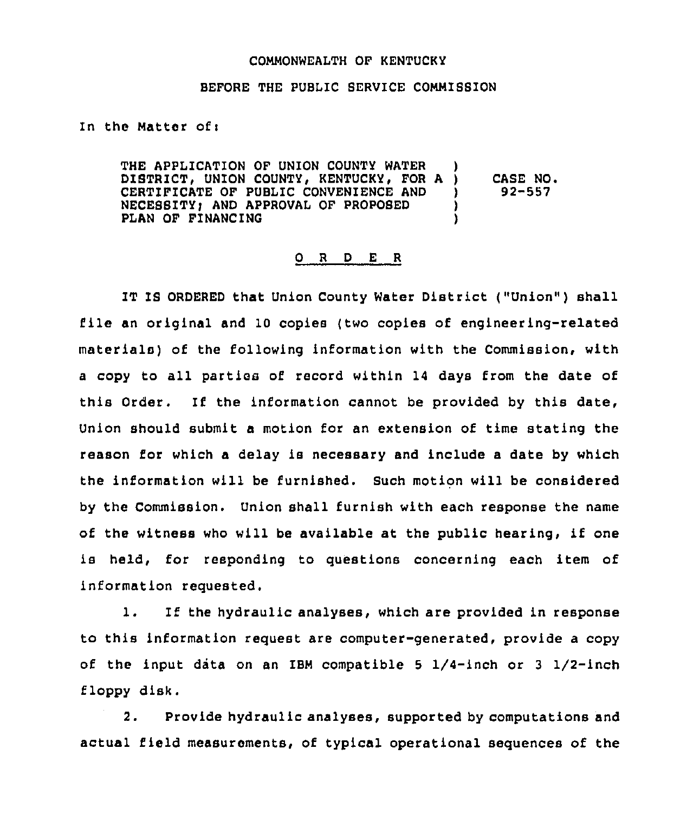## COMMONWEALTH OF KENTUCKY

## BEFORE THE PUBLIC SERVICE COMMISSION

In the Matter of <sup>i</sup>

THE APPLICATION OF UNION COUNTY WATER )<br>DISTRICT, UNION COUNTY, KENTUCKY, FOR A ) DISTRICT, UNION COUNTY, KENTUCKY, FOR A )<br>CERTIFICATE OF PUBLIC CONVENIENCE AND CERTIFICATE OF PUBLIC CONVENIENCE AND ) NECESSITY; AND APPROVAL OF PROPOSED )<br>PLAN OF FINANCING PLAN OF FINANCING CASE NO. 92-557

## 0 <sup>R</sup> <sup>D</sup> E <sup>R</sup>

IT IS ORDERED that Union County Water District ("Union" ) shall file an original and <sup>10</sup> copies (two copies of engineering-related materials) of the following information with the Commission, with <sup>a</sup> copy to all parties of record within 14 days from the date of this Order. If the information cannot be provided by this date, Union should submit a motion for an extension of time stating the reason for which a delay is necessary and include a date by which the information will be furnished. Such motion will be considered by the Commission. Union shall furnish with each response the name of the witness who will be available at the public hearing, if one is held, for responding to questions concerning each item of information requested.

1. If the hydraulic analyses, which are provided in response to this information request are computer-generated, provide a copy of the input data on an IBM compatible 5  $1/4$ -inch or 3  $1/2$ -inch floppy disk.

2. Provide hydraulic analyses, supported by computations and actual field measurements, of typical operational sequences of the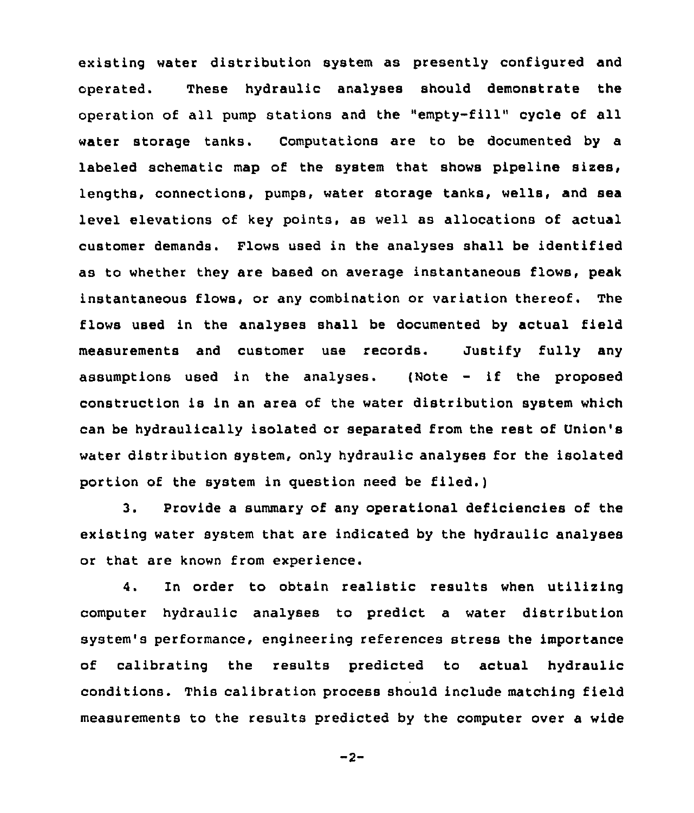existing water distribution system as presently configured and operated. These hydraulic analyses should demonstrate the operation of all pump stations and the "empty-fill" cycle of all water storage tanks. Computations are to be documented by a labeled schematic map of the system that shows pipeline sizes, lengths, connections, pumps, water storage tanks, wells, and sea level elevations of key points, as well as allocations of actual customer demands. Flows used in the analyses shall be identified as to whether they are based on average instantaneous flows, peak instantaneous flows, or any combination or variation thereof. The flows used in the analyses shall be documented by actual field measurements and customer use records. Justify fully any assumptions used in the analyses. {Note — if the proposed construction is in an area of the water distribution system which can be hydraulically isolated or separated from the rest of Union's water distribution system, only hydraulic analyses for the isolated portion of the system in question need be filed.)

3. Provide a summary of any operational deficiencies of the existing water system that are indicated by the hydraulic analyses or that are known from experience.

4. In order to obtain realistic results when utilizing computer hydraulic analyses to predict a water distribution system's performance, engineering references stress the importance of calibrating the results predicted to actual hydraulic conditions. This calibration process should include matching field measurements to the results predicted by the computer over a wide

$$
-2 -
$$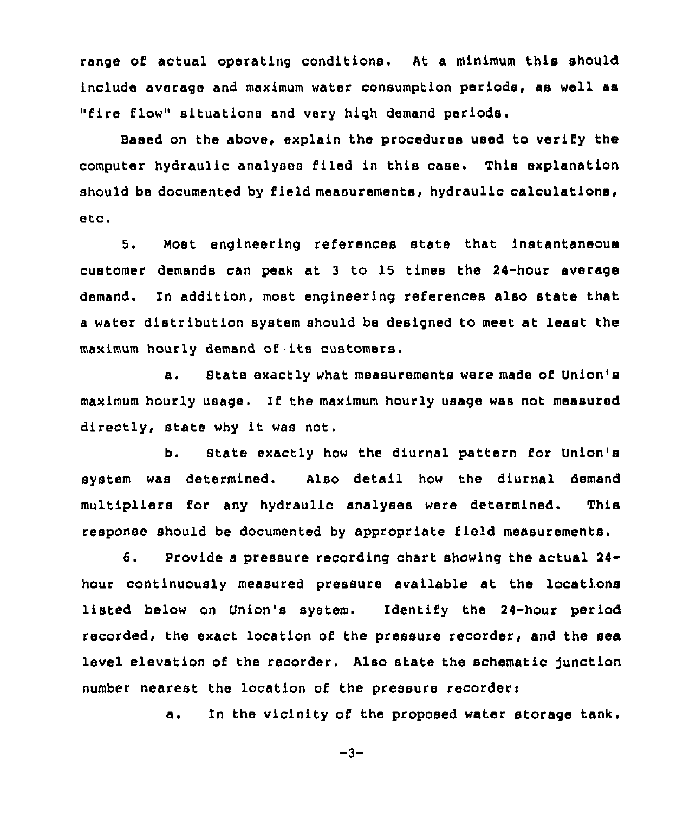range of actual operating conditions. At a minimum this should include average and maximum water consumption periods, ae well as "fire flow" situations and very high demand periods.

Based on the above, explain the procedures used to verify the computer hydraulic analyses tiled in this case. This explanation should be documented by field measurements, hydraulic calculations, etc.

5. Most engineering references state that instantaneous customer demands can peak at <sup>3</sup> to 15 times the 24-hour average demand. In addition, most engineering references also state that <sup>a</sup> water distribution system should be designed to meet at least the maximum hourly demand of its customers.

a. State exactly what measurements were made of Union's maximum hourly usage. If the maximum hourly usage was not measured directly, state why it was not.

b. State exactly how the diurnal pattern for Union's system was determined. Also detail how the diurnal demand multipliers for any hydraulic analyses were determined. This response should be documented by appropriate field measurements.

6. Provide <sup>a</sup> pressure recording chart showing the actual 24 hour continuously measured pressure available at the locations listed below on Union's system. Identify the 24-hour period recorded, the exact location of the pressure recorder, and the sea level elevation of the recorder. Also state the schematic junction number nearest the location of the pressure recorder:

a. In the vicinity of the proposed water storage tank.

 $-3-$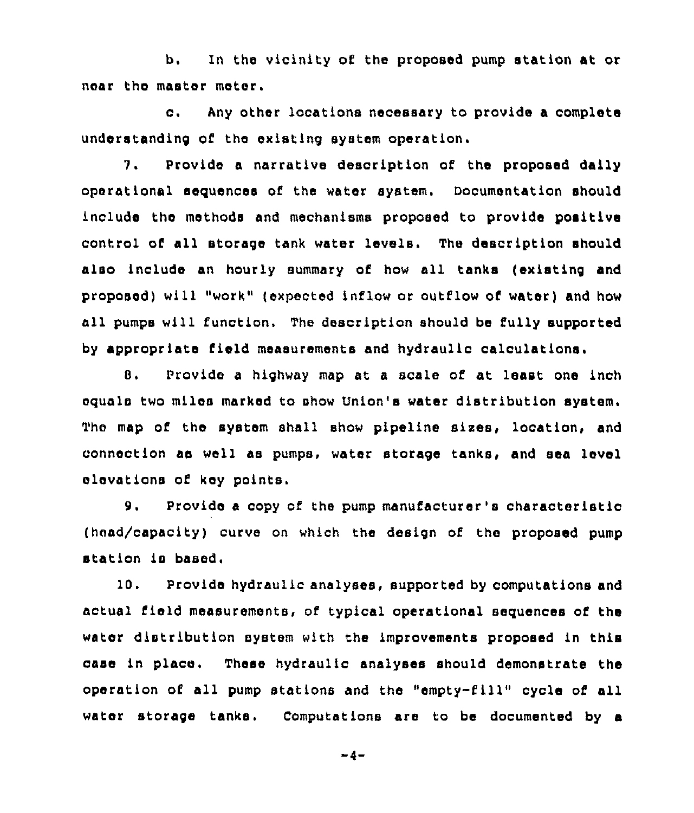b. In the vicinity of the proposed pump station at or near the master meter.

c. Any other locations necessary to provide <sup>a</sup> complete understanding of the existing system operation.

7. Provide a narrative description of the proposed daily operational sequences of the water system. Oocumentation should include the methods and mechanisms proposed to provide positive control of all storage tank water levels. The description should also include an hourly summary of how all tanks (existing and proposed) will "work" (expected inflow or outflow of water) and how all pumps will function. The description should be fully supported by appropriate field measurements and hydraulic calculations.

8. Provide a highway map at a scale of at least one inch equals two miles marked to show Union's water distribution system. Thc map of the system shall show pipeline sixes, location, and connection aa well as pumps, water storage tanks, and sea level elevations of key points,

9. Provide <sup>a</sup> copy of the pump manufacturer's characteristic (head/capacity) curve on which the design of the proposed pump station is based.

10. Provide hydraulic analyses, supported by computations and actual field measurements, of typical operational sequences of the water distribution system with the improvements proposed in this case in place. These hydraulic analyses should demonstrate the operation of all pump stations and the "empty-fill" cycle of all water storage tanks. Computations are to be documented by a

 $-4-$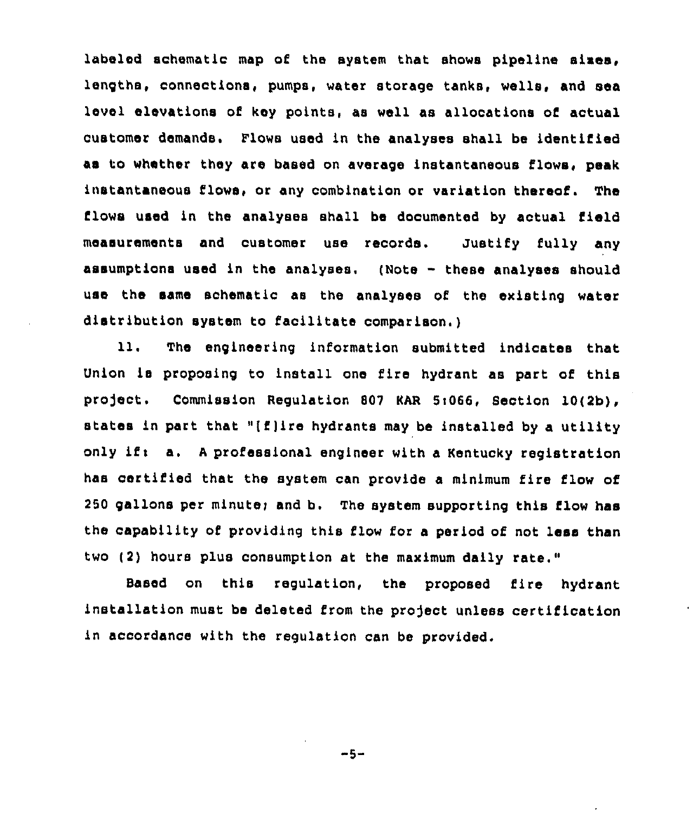labeled schematic map of the system that showa pipeline sixes, lengths, connections, pumps, water storage tanks, wells, and sea level elevations of key points, as well as allocations of actual customer demands. Flows used in the analyses shall be identified as to whether they are based on average instantaneous flows, peak instantaneous flows, or any combination or variation thereof. The flows used in the analyses shall be documented by actual field measurements and customer use records. Justify fully any assumptions used in the analyses. (Note  $-$  these analyses should use the same schematic as the analyses of the existing water distribution system to facilitate comparison.)

11. The engineering information submitted indicates that Union is proposing to install one fire hydrant as part of this project. Commission Regulation 807 KAR 5:066, Section 10(2b), states in part that "(f)ire hydrants may be installed by <sup>a</sup> utility only if: a. A professional engineer with a Kentucky registration has certified that the system can provide a minimum fire flow of 250 gallons per minute; and b. The system supporting this flow has the capability of providing this flow for a period of not less than two (2) hours plus consumption at the maximum daily rate."

Based on this regulation, the proposed fire hydrant installation must be deleted from the project unless certification in accordance with the regulation can be provided.

"5-